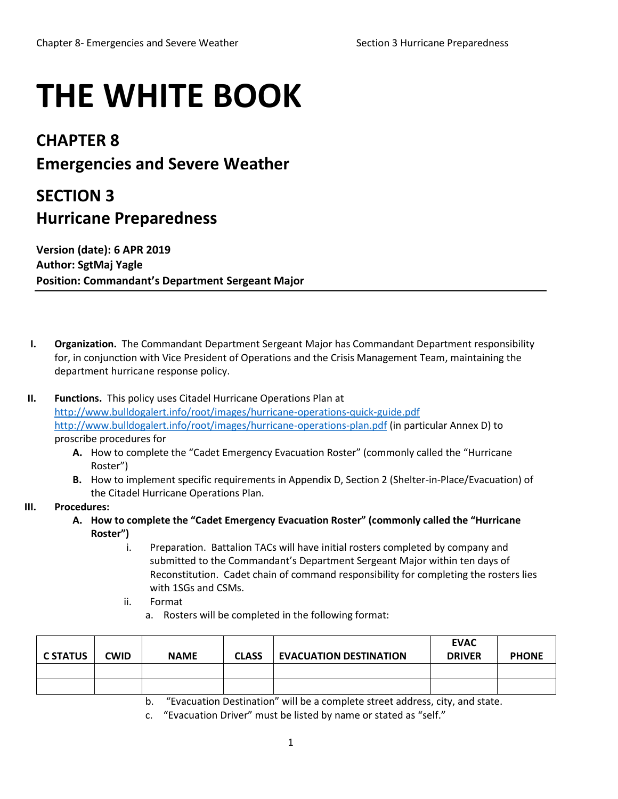## **THE WHITE BOOK**

## **CHAPTER 8 Emergencies and Severe Weather**

## **SECTION 3 Hurricane Preparedness**

**Version (date): 6 APR 2019 Author: SgtMaj Yagle Position: Commandant's Department Sergeant Major**

- **I. Organization.** The Commandant Department Sergeant Major has Commandant Department responsibility for, in conjunction with Vice President of Operations and the Crisis Management Team, maintaining the department hurricane response policy.
- **II. Functions.** This policy uses Citadel Hurricane Operations Plan at <http://www.bulldogalert.info/root/images/hurricane-operations-quick-guide.pdf> <http://www.bulldogalert.info/root/images/hurricane-operations-plan.pdf> (in particular Annex D) to proscribe procedures for
	- **A.** How to complete the "Cadet Emergency Evacuation Roster" (commonly called the "Hurricane Roster")
	- **B.** How to implement specific requirements in Appendix D, Section 2 (Shelter-in-Place/Evacuation) of the Citadel Hurricane Operations Plan.

## **III. Procedures:**

- **A. How to complete the "Cadet Emergency Evacuation Roster" (commonly called the "Hurricane Roster")**
	- i. Preparation. Battalion TACs will have initial rosters completed by company and submitted to the Commandant's Department Sergeant Major within ten days of Reconstitution. Cadet chain of command responsibility for completing the rosters lies with 1SGs and CSMs.
	- ii. Format
		- a. Rosters will be completed in the following format:

| <b>C STATUS</b> | <b>CWID</b> | <b>NAME</b> | <b>CLASS</b> | <b>EVACUATION DESTINATION</b> | <b>EVAC</b><br><b>DRIVER</b> | <b>PHONE</b> |
|-----------------|-------------|-------------|--------------|-------------------------------|------------------------------|--------------|
|                 |             |             |              |                               |                              |              |
|                 |             |             |              |                               |                              |              |

b. "Evacuation Destination" will be a complete street address, city, and state.

c. "Evacuation Driver" must be listed by name or stated as "self."